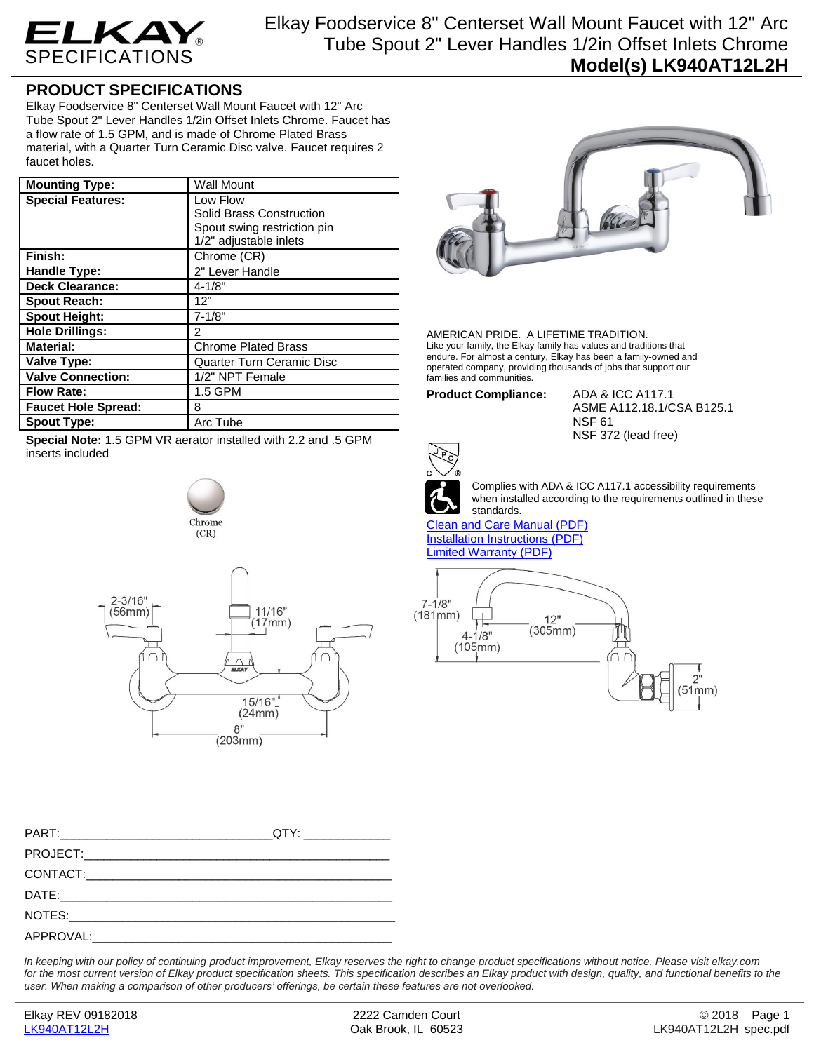

## **PRODUCT SPECIFICATIONS**

Elkay Foodservice 8" Centerset Wall Mount Faucet with 12" Arc Tube Spout 2" Lever Handles 1/2in Offset Inlets Chrome. Faucet has a flow rate of 1.5 GPM, and is made of Chrome Plated Brass material, with a Quarter Turn Ceramic Disc valve. Faucet requires 2 faucet holes.

| <b>Mounting Type:</b>      | <b>Wall Mount</b>                |
|----------------------------|----------------------------------|
| <b>Special Features:</b>   | Low Flow                         |
|                            | Solid Brass Construction         |
|                            | Spout swing restriction pin      |
|                            | 1/2" adjustable inlets           |
| Finish:                    | Chrome (CR)                      |
| <b>Handle Type:</b>        | 2" Lever Handle                  |
| <b>Deck Clearance:</b>     | $4 - 1/8"$                       |
| <b>Spout Reach:</b>        | 12"                              |
| <b>Spout Height:</b>       | $7 - 1/8"$                       |
| <b>Hole Drillings:</b>     | 2                                |
| <b>Material:</b>           | <b>Chrome Plated Brass</b>       |
| Valve Type:                | <b>Quarter Turn Ceramic Disc</b> |
| <b>Valve Connection:</b>   | 1/2" NPT Female                  |
| <b>Flow Rate:</b>          | 1.5 GPM                          |
| <b>Faucet Hole Spread:</b> | 8                                |
| <b>Spout Type:</b>         | Arc Tube                         |

**Special Note:** 1.5 GPM VR aerator installed with 2.2 and .5 GPM inserts included





| QTY:________________ |
|----------------------|
|                      |
|                      |
|                      |
|                      |
|                      |

*In keeping with our policy of continuing product improvement, Elkay reserves the right to change product specifications without notice. Please visit elkay.com for the most current version of Elkay product specification sheets. This specification describes an Elkay product with design, quality, and functional benefits to the user. When making a comparison of other producers' offerings, be certain these features are not overlooked.*



AMERICAN PRIDE. A LIFETIME TRADITION. Like your family, the Elkay family has values and traditions that endure. For almost a century, Elkay has been a family-owned and operated company, providing thousands of jobs that support our families and communities.

**Product Compliance:** ADA & ICC A117.1

ASME A112.18.1/CSA B125.1 NSF 61 NSF 372 (lead free)



Complies with ADA & ICC A117.1 accessibility requirements when installed according to the requirements outlined in these standards.

[Clean and Care Manual \(PDF\)](http://www.elkay.com/wcsstore/lkdocs/care-cleaning-install-warranty-sheets/residential%20and%20commercial%20care%20%20cleaning.pdf) [Installation Instructions \(PDF\)](http://www.elkay.com/wcsstore/lkdocs/care-cleaning-install-warranty-sheets/a55483.pdf) [Limited Warranty](http://www.elkay.com/wcsstore/lkdocs/care-cleaning-install-warranty-sheets/commercial%20sinks%20and%20faucets%20warranty.pdf) (PDF)